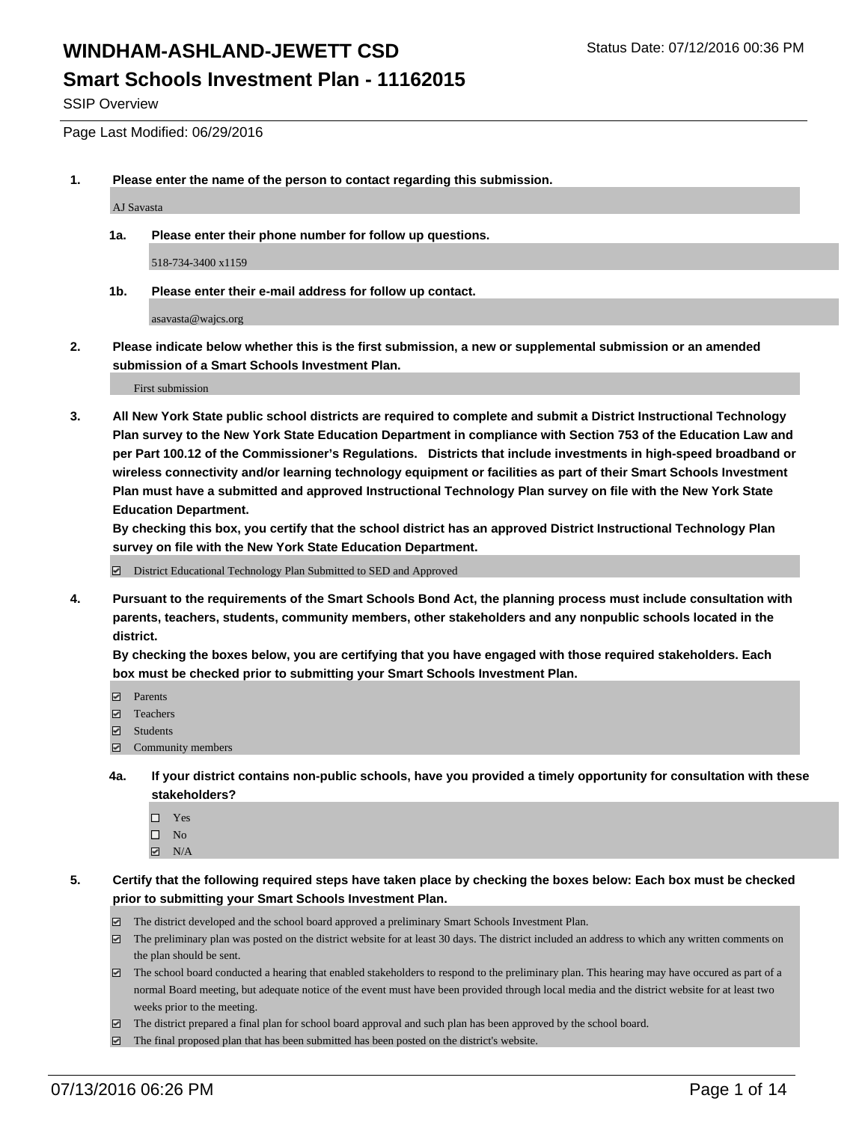### **Smart Schools Investment Plan - 11162015**

SSIP Overview

Page Last Modified: 06/29/2016

**1. Please enter the name of the person to contact regarding this submission.**

AJ Savasta

**1a. Please enter their phone number for follow up questions.**

518-734-3400 x1159

**1b. Please enter their e-mail address for follow up contact.**

asavasta@wajcs.org

**2. Please indicate below whether this is the first submission, a new or supplemental submission or an amended submission of a Smart Schools Investment Plan.**

First submission

**3. All New York State public school districts are required to complete and submit a District Instructional Technology Plan survey to the New York State Education Department in compliance with Section 753 of the Education Law and per Part 100.12 of the Commissioner's Regulations. Districts that include investments in high-speed broadband or wireless connectivity and/or learning technology equipment or facilities as part of their Smart Schools Investment Plan must have a submitted and approved Instructional Technology Plan survey on file with the New York State Education Department.** 

**By checking this box, you certify that the school district has an approved District Instructional Technology Plan survey on file with the New York State Education Department.**

District Educational Technology Plan Submitted to SED and Approved

**4. Pursuant to the requirements of the Smart Schools Bond Act, the planning process must include consultation with parents, teachers, students, community members, other stakeholders and any nonpublic schools located in the district.** 

**By checking the boxes below, you are certifying that you have engaged with those required stakeholders. Each box must be checked prior to submitting your Smart Schools Investment Plan.**

- **Parents**
- Teachers
- $\blacksquare$  Students
- Community members
- **4a. If your district contains non-public schools, have you provided a timely opportunity for consultation with these stakeholders?**
	- $\Box$  Yes  $\square$  No
	- $\boxtimes$  N/A
- **5. Certify that the following required steps have taken place by checking the boxes below: Each box must be checked prior to submitting your Smart Schools Investment Plan.**
	- The district developed and the school board approved a preliminary Smart Schools Investment Plan.
	- $\Box$  The preliminary plan was posted on the district website for at least 30 days. The district included an address to which any written comments on the plan should be sent.
	- $\Box$  The school board conducted a hearing that enabled stakeholders to respond to the preliminary plan. This hearing may have occured as part of a normal Board meeting, but adequate notice of the event must have been provided through local media and the district website for at least two weeks prior to the meeting.
	- The district prepared a final plan for school board approval and such plan has been approved by the school board.
	- $\boxdot$  The final proposed plan that has been submitted has been posted on the district's website.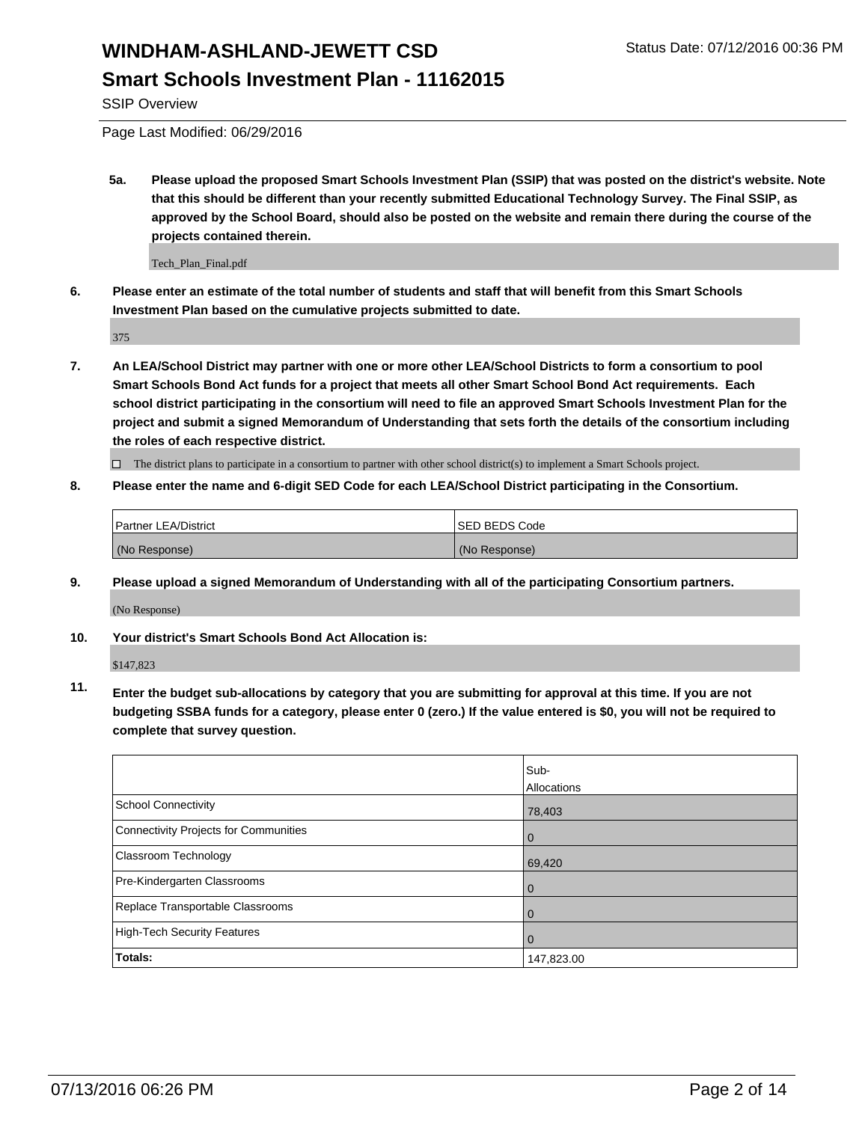### **Smart Schools Investment Plan - 11162015**

SSIP Overview

Page Last Modified: 06/29/2016

**5a. Please upload the proposed Smart Schools Investment Plan (SSIP) that was posted on the district's website. Note that this should be different than your recently submitted Educational Technology Survey. The Final SSIP, as approved by the School Board, should also be posted on the website and remain there during the course of the projects contained therein.**

Tech\_Plan\_Final.pdf

**6. Please enter an estimate of the total number of students and staff that will benefit from this Smart Schools Investment Plan based on the cumulative projects submitted to date.**

375

**7. An LEA/School District may partner with one or more other LEA/School Districts to form a consortium to pool Smart Schools Bond Act funds for a project that meets all other Smart School Bond Act requirements. Each school district participating in the consortium will need to file an approved Smart Schools Investment Plan for the project and submit a signed Memorandum of Understanding that sets forth the details of the consortium including the roles of each respective district.**

 $\Box$  The district plans to participate in a consortium to partner with other school district(s) to implement a Smart Schools project.

#### **8. Please enter the name and 6-digit SED Code for each LEA/School District participating in the Consortium.**

| <b>Partner LEA/District</b> | ISED BEDS Code |
|-----------------------------|----------------|
| (No Response)               | (No Response)  |

**9. Please upload a signed Memorandum of Understanding with all of the participating Consortium partners.**

(No Response)

**10. Your district's Smart Schools Bond Act Allocation is:**

\$147,823

**11. Enter the budget sub-allocations by category that you are submitting for approval at this time. If you are not budgeting SSBA funds for a category, please enter 0 (zero.) If the value entered is \$0, you will not be required to complete that survey question.**

|                                       | Sub-<br>Allocations |
|---------------------------------------|---------------------|
| School Connectivity                   | 78,403              |
| Connectivity Projects for Communities | $\Omega$            |
| <b>Classroom Technology</b>           | 69,420              |
| Pre-Kindergarten Classrooms           | $\Omega$            |
| Replace Transportable Classrooms      | 0                   |
| High-Tech Security Features           | $\Omega$            |
| Totals:                               | 147,823.00          |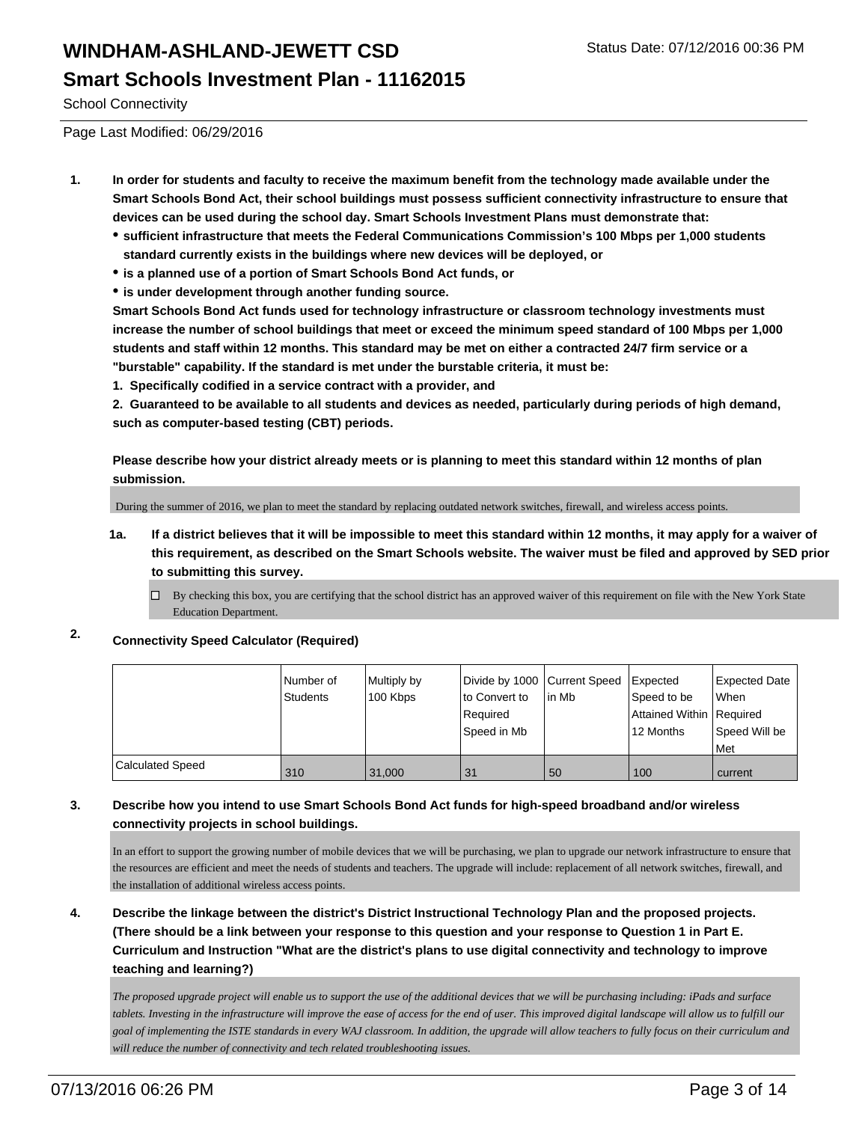### **Smart Schools Investment Plan - 11162015**

School Connectivity

Page Last Modified: 06/29/2016

- **1. In order for students and faculty to receive the maximum benefit from the technology made available under the Smart Schools Bond Act, their school buildings must possess sufficient connectivity infrastructure to ensure that devices can be used during the school day. Smart Schools Investment Plans must demonstrate that:**
	- **sufficient infrastructure that meets the Federal Communications Commission's 100 Mbps per 1,000 students standard currently exists in the buildings where new devices will be deployed, or**
	- **is a planned use of a portion of Smart Schools Bond Act funds, or**
	- **is under development through another funding source.**

**Smart Schools Bond Act funds used for technology infrastructure or classroom technology investments must increase the number of school buildings that meet or exceed the minimum speed standard of 100 Mbps per 1,000 students and staff within 12 months. This standard may be met on either a contracted 24/7 firm service or a "burstable" capability. If the standard is met under the burstable criteria, it must be:**

**1. Specifically codified in a service contract with a provider, and**

**2. Guaranteed to be available to all students and devices as needed, particularly during periods of high demand, such as computer-based testing (CBT) periods.**

**Please describe how your district already meets or is planning to meet this standard within 12 months of plan submission.**

During the summer of 2016, we plan to meet the standard by replacing outdated network switches, firewall, and wireless access points.

- **1a. If a district believes that it will be impossible to meet this standard within 12 months, it may apply for a waiver of this requirement, as described on the Smart Schools website. The waiver must be filed and approved by SED prior to submitting this survey.**
	- $\Box$  By checking this box, you are certifying that the school district has an approved waiver of this requirement on file with the New York State Education Department.
- **2. Connectivity Speed Calculator (Required)**

|                         | Number of<br>Students | Multiply by<br>100 Kbps | Divide by 1000 Current Speed<br>to Convert to<br>Required<br>Speed in Mb | lin Mb | <b>Expected</b><br>Speed to be<br>Attained Within   Required<br>12 Months | Expected Date<br><b>When</b><br>Speed Will be<br>l Met |
|-------------------------|-----------------------|-------------------------|--------------------------------------------------------------------------|--------|---------------------------------------------------------------------------|--------------------------------------------------------|
| <b>Calculated Speed</b> | 310                   | 31.000                  | 31                                                                       | 50     | 100                                                                       | current                                                |

#### **3. Describe how you intend to use Smart Schools Bond Act funds for high-speed broadband and/or wireless connectivity projects in school buildings.**

In an effort to support the growing number of mobile devices that we will be purchasing, we plan to upgrade our network infrastructure to ensure that the resources are efficient and meet the needs of students and teachers. The upgrade will include: replacement of all network switches, firewall, and the installation of additional wireless access points.

**4. Describe the linkage between the district's District Instructional Technology Plan and the proposed projects. (There should be a link between your response to this question and your response to Question 1 in Part E. Curriculum and Instruction "What are the district's plans to use digital connectivity and technology to improve teaching and learning?)**

*The proposed upgrade project will enable us to support the use of the additional devices that we will be purchasing including: iPads and surface tablets. Investing in the infrastructure will improve the ease of access for the end of user. This improved digital landscape will allow us to fulfill our goal of implementing the ISTE standards in every WAJ classroom. In addition, the upgrade will allow teachers to fully focus on their curriculum and will reduce the number of connectivity and tech related troubleshooting issues.*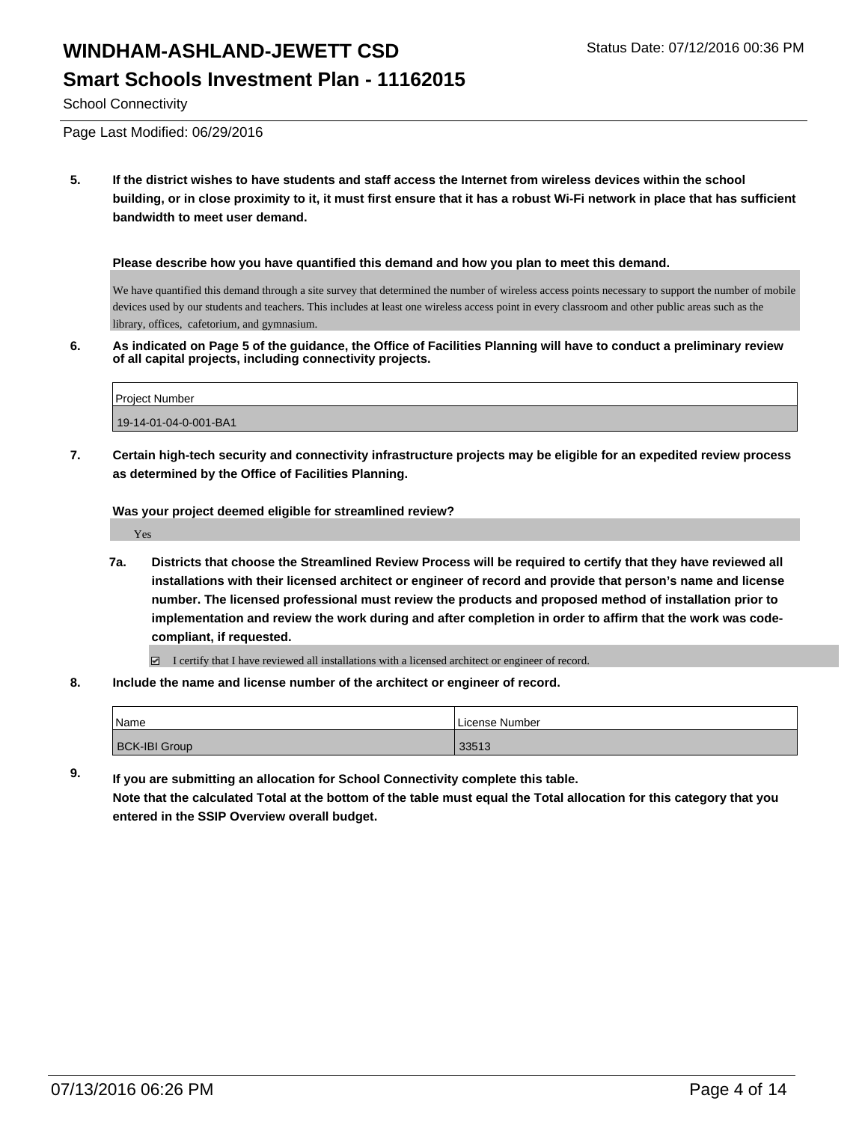### **Smart Schools Investment Plan - 11162015**

School Connectivity

Page Last Modified: 06/29/2016

**5. If the district wishes to have students and staff access the Internet from wireless devices within the school building, or in close proximity to it, it must first ensure that it has a robust Wi-Fi network in place that has sufficient bandwidth to meet user demand.**

**Please describe how you have quantified this demand and how you plan to meet this demand.**

We have quantified this demand through a site survey that determined the number of wireless access points necessary to support the number of mobile devices used by our students and teachers. This includes at least one wireless access point in every classroom and other public areas such as the library, offices, cafetorium, and gymnasium.

**6. As indicated on Page 5 of the guidance, the Office of Facilities Planning will have to conduct a preliminary review of all capital projects, including connectivity projects.**

| <b>Project Number</b> |  |
|-----------------------|--|
|                       |  |
| 19-14-01-04-0-001-BA1 |  |

**7. Certain high-tech security and connectivity infrastructure projects may be eligible for an expedited review process as determined by the Office of Facilities Planning.**

**Was your project deemed eligible for streamlined review?**

Yes

**7a. Districts that choose the Streamlined Review Process will be required to certify that they have reviewed all installations with their licensed architect or engineer of record and provide that person's name and license number. The licensed professional must review the products and proposed method of installation prior to implementation and review the work during and after completion in order to affirm that the work was codecompliant, if requested.**

 $\Box$  I certify that I have reviewed all installations with a licensed architect or engineer of record.

**8. Include the name and license number of the architect or engineer of record.**

| <i>N</i> ame         | License Number |
|----------------------|----------------|
| <b>BCK-IBI Group</b> | 33513          |

**9. If you are submitting an allocation for School Connectivity complete this table. Note that the calculated Total at the bottom of the table must equal the Total allocation for this category that you entered in the SSIP Overview overall budget.**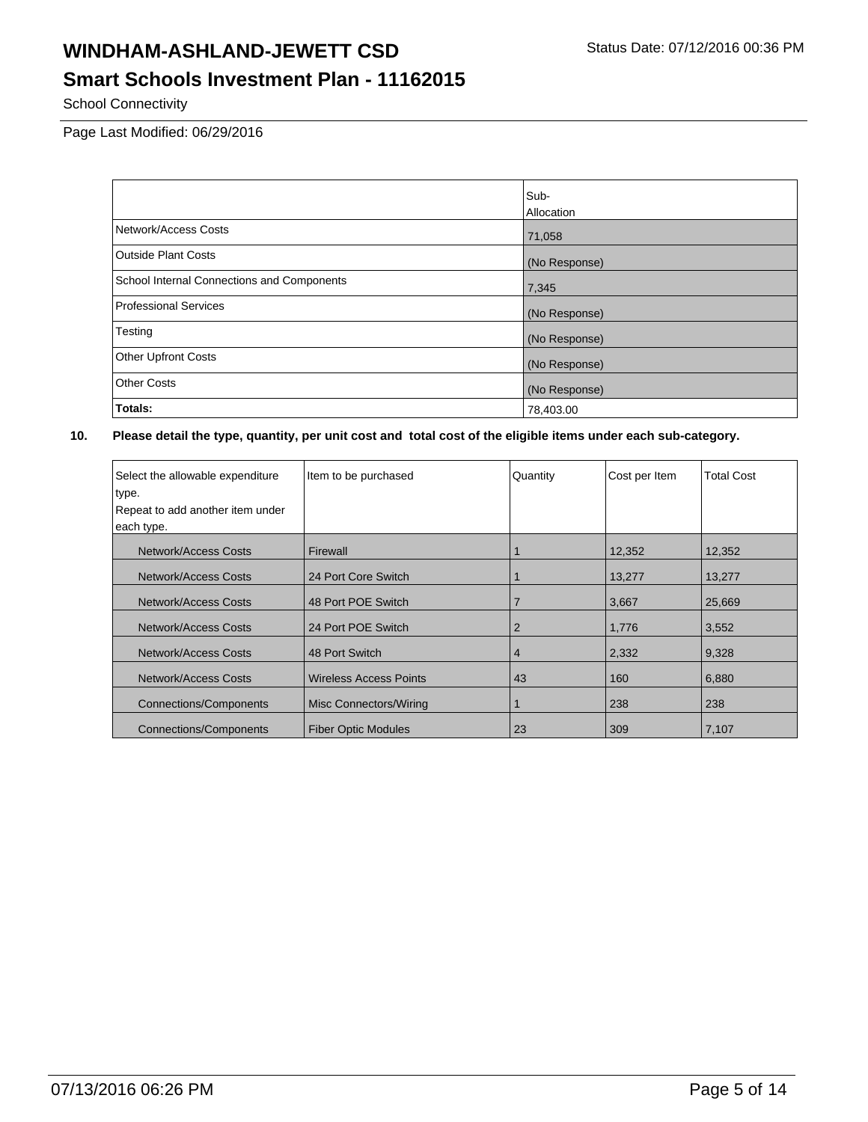## **Smart Schools Investment Plan - 11162015**

School Connectivity

Page Last Modified: 06/29/2016

|                                            | Sub-              |
|--------------------------------------------|-------------------|
|                                            | <b>Allocation</b> |
| Network/Access Costs                       | 71,058            |
| <b>Outside Plant Costs</b>                 | (No Response)     |
| School Internal Connections and Components | 7,345             |
| <b>Professional Services</b>               | (No Response)     |
| Testing                                    | (No Response)     |
| <b>Other Upfront Costs</b>                 | (No Response)     |
| <b>Other Costs</b>                         | (No Response)     |
| Totals:                                    | 78,403.00         |

| Select the allowable expenditure<br>type.<br>Repeat to add another item under<br>each type. | Item to be purchased          | Quantity | Cost per Item | <b>Total Cost</b> |
|---------------------------------------------------------------------------------------------|-------------------------------|----------|---------------|-------------------|
| Network/Access Costs                                                                        | Firewall                      |          | 12,352        | 12,352            |
| Network/Access Costs                                                                        | 24 Port Core Switch           |          | 13,277        | 13,277            |
| Network/Access Costs                                                                        | 48 Port POE Switch            |          | 3,667         | 25,669            |
| <b>Network/Access Costs</b>                                                                 | 24 Port POE Switch            | 2        | 1,776         | 3,552             |
| Network/Access Costs                                                                        | 48 Port Switch                | 4        | 2,332         | 9,328             |
| Network/Access Costs                                                                        | <b>Wireless Access Points</b> | 43       | 160           | 6,880             |
| Connections/Components                                                                      | Misc Connectors/Wiring        |          | 238           | 238               |
| <b>Connections/Components</b>                                                               | <b>Fiber Optic Modules</b>    | 23       | 309           | 7,107             |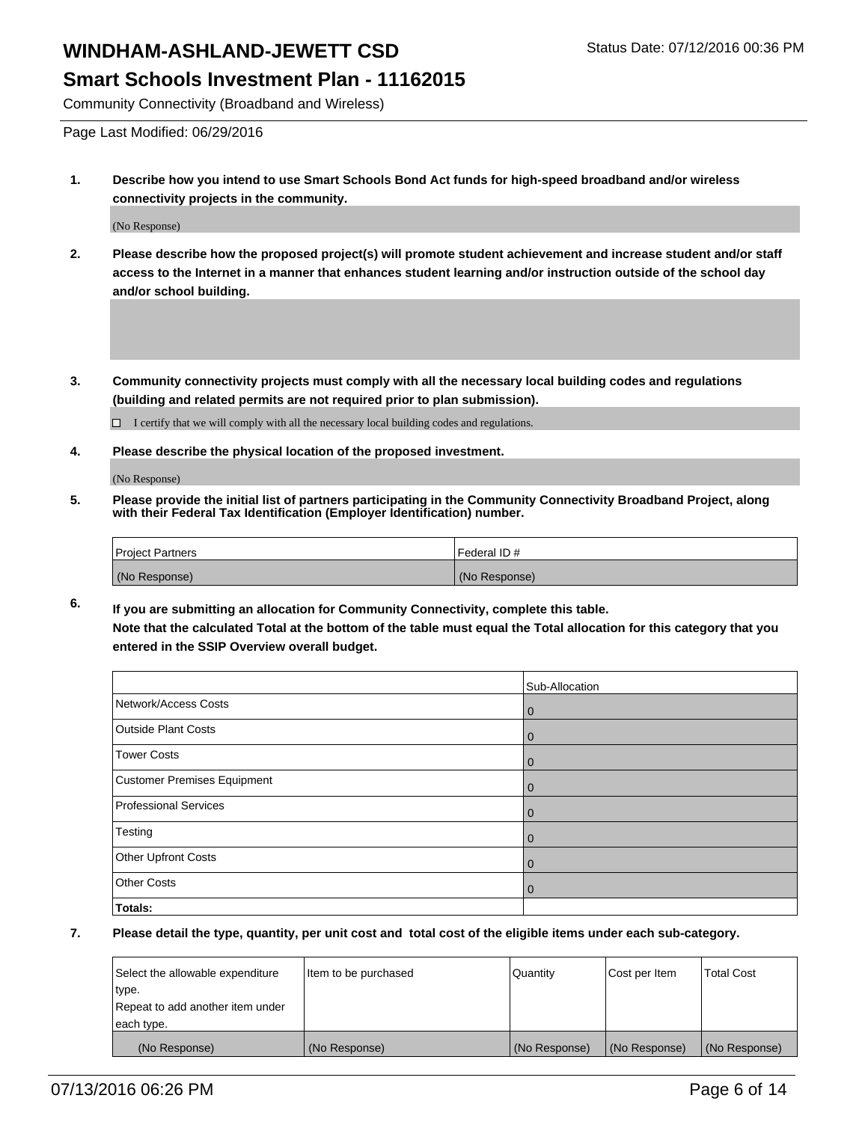### **Smart Schools Investment Plan - 11162015**

Community Connectivity (Broadband and Wireless)

Page Last Modified: 06/29/2016

**1. Describe how you intend to use Smart Schools Bond Act funds for high-speed broadband and/or wireless connectivity projects in the community.**

(No Response)

- **2. Please describe how the proposed project(s) will promote student achievement and increase student and/or staff access to the Internet in a manner that enhances student learning and/or instruction outside of the school day and/or school building.**
- **3. Community connectivity projects must comply with all the necessary local building codes and regulations (building and related permits are not required prior to plan submission).**

 $\Box$  I certify that we will comply with all the necessary local building codes and regulations.

**4. Please describe the physical location of the proposed investment.**

(No Response)

**5. Please provide the initial list of partners participating in the Community Connectivity Broadband Project, along with their Federal Tax Identification (Employer Identification) number.**

| <b>Project Partners</b> | Federal ID#   |
|-------------------------|---------------|
| (No Response)           | (No Response) |

**6. If you are submitting an allocation for Community Connectivity, complete this table. Note that the calculated Total at the bottom of the table must equal the Total allocation for this category that you entered in the SSIP Overview overall budget.**

|                                    | Sub-Allocation |
|------------------------------------|----------------|
| Network/Access Costs               | l 0            |
| <b>Outside Plant Costs</b>         | l 0            |
| <b>Tower Costs</b>                 | l 0            |
| <b>Customer Premises Equipment</b> | l 0            |
| <b>Professional Services</b>       | $\overline{0}$ |
| Testing                            | $\overline{0}$ |
| Other Upfront Costs                | $\overline{0}$ |
| <b>Other Costs</b>                 | $\overline{0}$ |
| Totals:                            |                |

| Select the allowable expenditure | litem to be purchased | Quantity      | Cost per Item | <b>Total Cost</b> |
|----------------------------------|-----------------------|---------------|---------------|-------------------|
| type.                            |                       |               |               |                   |
| Repeat to add another item under |                       |               |               |                   |
| each type.                       |                       |               |               |                   |
| (No Response)                    | (No Response)         | (No Response) | (No Response) | (No Response)     |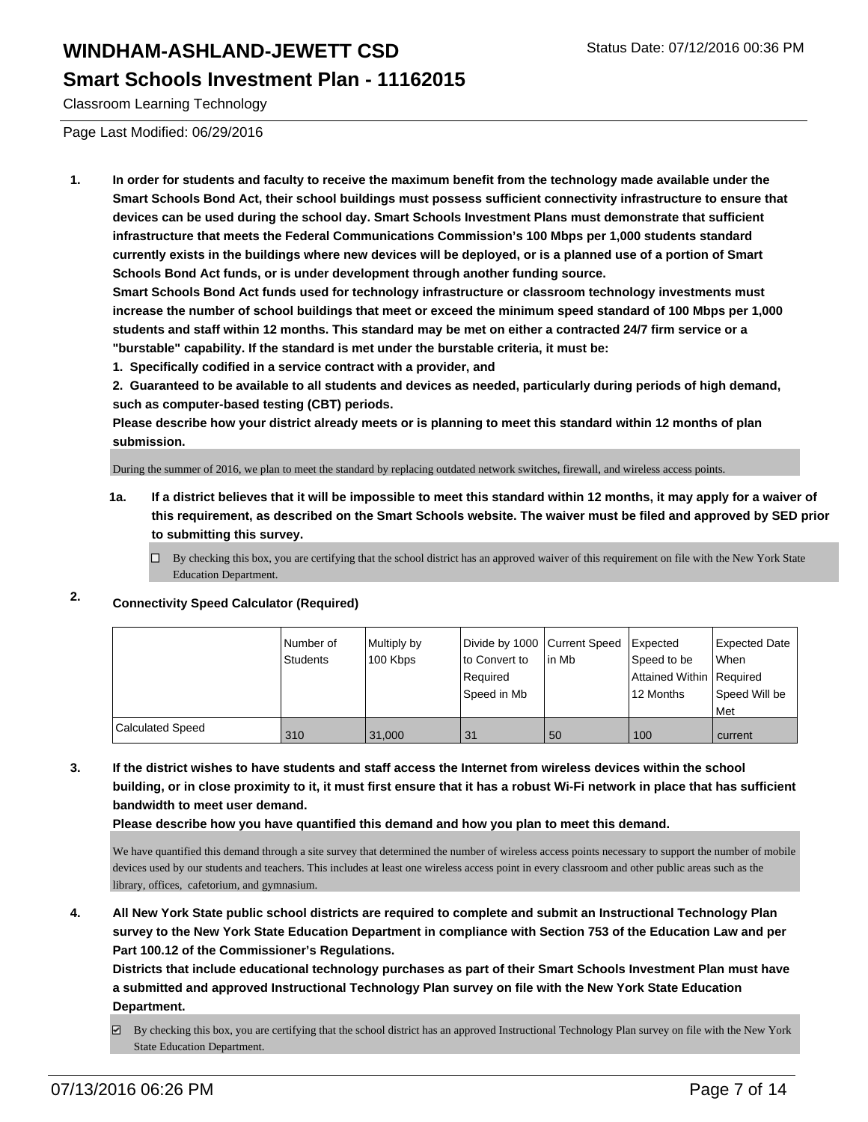#### **Smart Schools Investment Plan - 11162015**

Classroom Learning Technology

Page Last Modified: 06/29/2016

**1. In order for students and faculty to receive the maximum benefit from the technology made available under the Smart Schools Bond Act, their school buildings must possess sufficient connectivity infrastructure to ensure that devices can be used during the school day. Smart Schools Investment Plans must demonstrate that sufficient infrastructure that meets the Federal Communications Commission's 100 Mbps per 1,000 students standard currently exists in the buildings where new devices will be deployed, or is a planned use of a portion of Smart Schools Bond Act funds, or is under development through another funding source.**

**Smart Schools Bond Act funds used for technology infrastructure or classroom technology investments must increase the number of school buildings that meet or exceed the minimum speed standard of 100 Mbps per 1,000 students and staff within 12 months. This standard may be met on either a contracted 24/7 firm service or a "burstable" capability. If the standard is met under the burstable criteria, it must be:**

**1. Specifically codified in a service contract with a provider, and**

**2. Guaranteed to be available to all students and devices as needed, particularly during periods of high demand, such as computer-based testing (CBT) periods.**

**Please describe how your district already meets or is planning to meet this standard within 12 months of plan submission.**

During the summer of 2016, we plan to meet the standard by replacing outdated network switches, firewall, and wireless access points.

- **1a. If a district believes that it will be impossible to meet this standard within 12 months, it may apply for a waiver of this requirement, as described on the Smart Schools website. The waiver must be filed and approved by SED prior to submitting this survey.**
	- $\Box$  By checking this box, you are certifying that the school district has an approved waiver of this requirement on file with the New York State Education Department.

### **2. Connectivity Speed Calculator (Required)**

|                         | l Number of<br><b>Students</b> | Multiply by<br>100 Kbps | Divide by 1000 Current Speed<br>lto Convert to<br>Required<br>Speed in Mb | lin Mb | <b>I</b> Expected<br>Speed to be<br>Attained Within   Required<br>12 Months | Expected Date<br>l When<br>Speed Will be<br>l Met |
|-------------------------|--------------------------------|-------------------------|---------------------------------------------------------------------------|--------|-----------------------------------------------------------------------------|---------------------------------------------------|
| <b>Calculated Speed</b> | 310                            | 31,000                  | 31                                                                        | 50     | 100                                                                         | current                                           |

**3. If the district wishes to have students and staff access the Internet from wireless devices within the school building, or in close proximity to it, it must first ensure that it has a robust Wi-Fi network in place that has sufficient bandwidth to meet user demand.**

**Please describe how you have quantified this demand and how you plan to meet this demand.**

We have quantified this demand through a site survey that determined the number of wireless access points necessary to support the number of mobile devices used by our students and teachers. This includes at least one wireless access point in every classroom and other public areas such as the library, offices, cafetorium, and gymnasium.

**4. All New York State public school districts are required to complete and submit an Instructional Technology Plan survey to the New York State Education Department in compliance with Section 753 of the Education Law and per Part 100.12 of the Commissioner's Regulations.**

**Districts that include educational technology purchases as part of their Smart Schools Investment Plan must have a submitted and approved Instructional Technology Plan survey on file with the New York State Education Department.**

By checking this box, you are certifying that the school district has an approved Instructional Technology Plan survey on file with the New York State Education Department.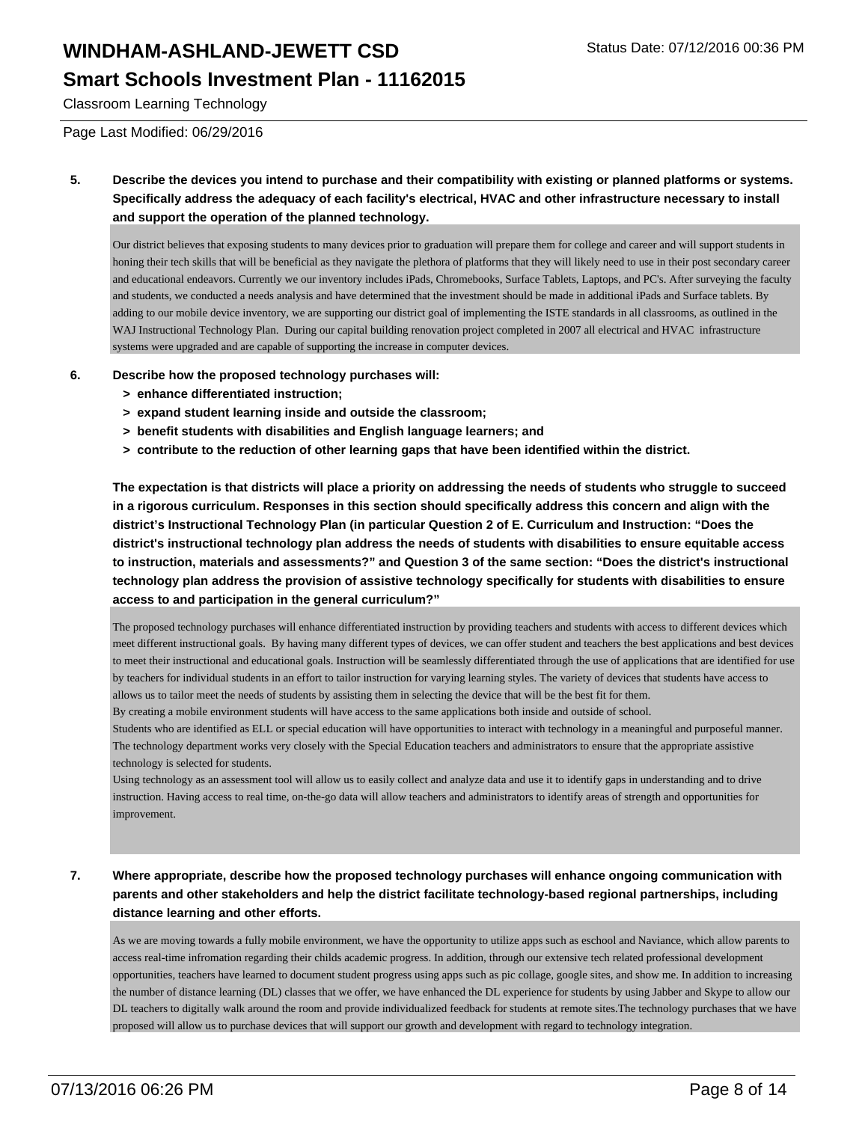#### **Smart Schools Investment Plan - 11162015**

Classroom Learning Technology

Page Last Modified: 06/29/2016

**5. Describe the devices you intend to purchase and their compatibility with existing or planned platforms or systems. Specifically address the adequacy of each facility's electrical, HVAC and other infrastructure necessary to install and support the operation of the planned technology.**

Our district believes that exposing students to many devices prior to graduation will prepare them for college and career and will support students in honing their tech skills that will be beneficial as they navigate the plethora of platforms that they will likely need to use in their post secondary career and educational endeavors. Currently we our inventory includes iPads, Chromebooks, Surface Tablets, Laptops, and PC's. After surveying the faculty and students, we conducted a needs analysis and have determined that the investment should be made in additional iPads and Surface tablets. By adding to our mobile device inventory, we are supporting our district goal of implementing the ISTE standards in all classrooms, as outlined in the WAJ Instructional Technology Plan. During our capital building renovation project completed in 2007 all electrical and HVAC infrastructure systems were upgraded and are capable of supporting the increase in computer devices.

- **6. Describe how the proposed technology purchases will:**
	- **> enhance differentiated instruction;**
	- **> expand student learning inside and outside the classroom;**
	- **> benefit students with disabilities and English language learners; and**
	- **> contribute to the reduction of other learning gaps that have been identified within the district.**

**The expectation is that districts will place a priority on addressing the needs of students who struggle to succeed in a rigorous curriculum. Responses in this section should specifically address this concern and align with the district's Instructional Technology Plan (in particular Question 2 of E. Curriculum and Instruction: "Does the district's instructional technology plan address the needs of students with disabilities to ensure equitable access to instruction, materials and assessments?" and Question 3 of the same section: "Does the district's instructional technology plan address the provision of assistive technology specifically for students with disabilities to ensure access to and participation in the general curriculum?"**

The proposed technology purchases will enhance differentiated instruction by providing teachers and students with access to different devices which meet different instructional goals. By having many different types of devices, we can offer student and teachers the best applications and best devices to meet their instructional and educational goals. Instruction will be seamlessly differentiated through the use of applications that are identified for use by teachers for individual students in an effort to tailor instruction for varying learning styles. The variety of devices that students have access to allows us to tailor meet the needs of students by assisting them in selecting the device that will be the best fit for them.

By creating a mobile environment students will have access to the same applications both inside and outside of school.

Students who are identified as ELL or special education will have opportunities to interact with technology in a meaningful and purposeful manner. The technology department works very closely with the Special Education teachers and administrators to ensure that the appropriate assistive technology is selected for students.

Using technology as an assessment tool will allow us to easily collect and analyze data and use it to identify gaps in understanding and to drive instruction. Having access to real time, on-the-go data will allow teachers and administrators to identify areas of strength and opportunities for improvement.

**7. Where appropriate, describe how the proposed technology purchases will enhance ongoing communication with parents and other stakeholders and help the district facilitate technology-based regional partnerships, including distance learning and other efforts.**

As we are moving towards a fully mobile environment, we have the opportunity to utilize apps such as eschool and Naviance, which allow parents to access real-time infromation regarding their childs academic progress. In addition, through our extensive tech related professional development opportunities, teachers have learned to document student progress using apps such as pic collage, google sites, and show me. In addition to increasing the number of distance learning (DL) classes that we offer, we have enhanced the DL experience for students by using Jabber and Skype to allow our DL teachers to digitally walk around the room and provide individualized feedback for students at remote sites.The technology purchases that we have proposed will allow us to purchase devices that will support our growth and development with regard to technology integration.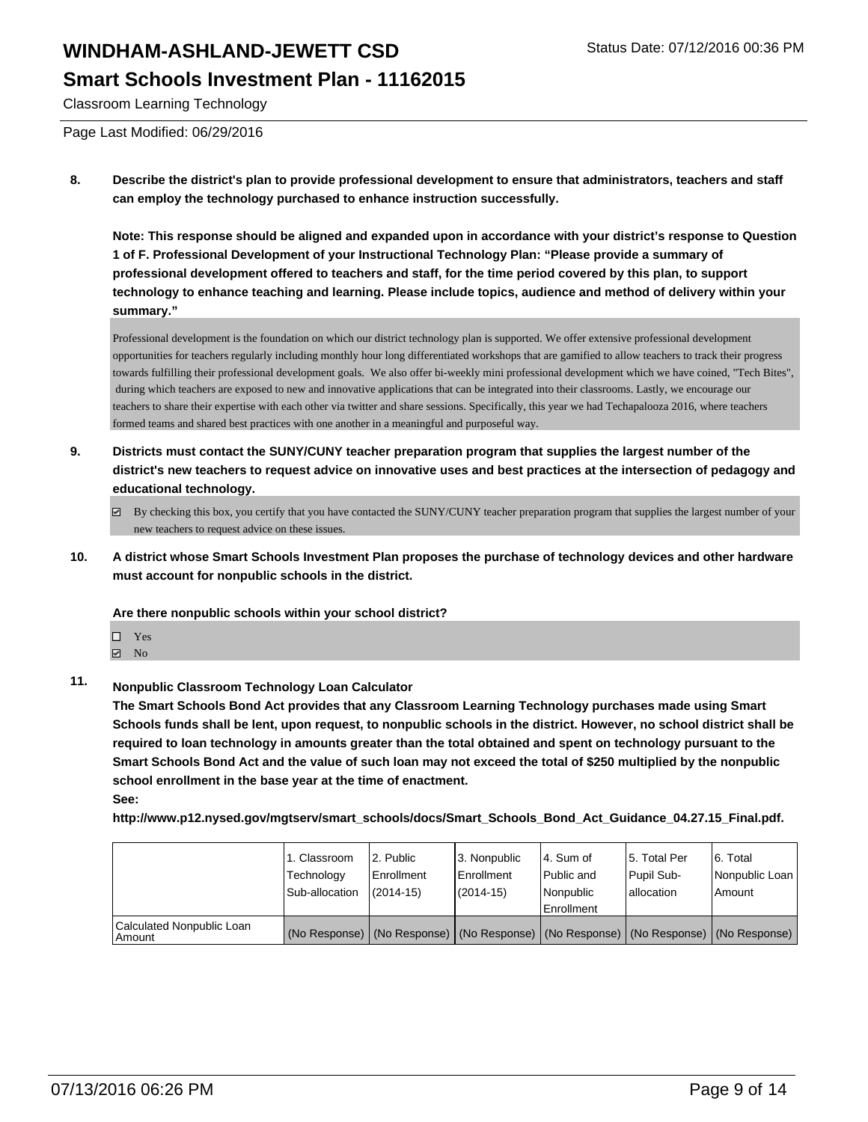#### **Smart Schools Investment Plan - 11162015**

Classroom Learning Technology

Page Last Modified: 06/29/2016

**8. Describe the district's plan to provide professional development to ensure that administrators, teachers and staff can employ the technology purchased to enhance instruction successfully.**

**Note: This response should be aligned and expanded upon in accordance with your district's response to Question 1 of F. Professional Development of your Instructional Technology Plan: "Please provide a summary of professional development offered to teachers and staff, for the time period covered by this plan, to support technology to enhance teaching and learning. Please include topics, audience and method of delivery within your summary."**

Professional development is the foundation on which our district technology plan is supported. We offer extensive professional development opportunities for teachers regularly including monthly hour long differentiated workshops that are gamified to allow teachers to track their progress towards fulfilling their professional development goals. We also offer bi-weekly mini professional development which we have coined, "Tech Bites", during which teachers are exposed to new and innovative applications that can be integrated into their classrooms. Lastly, we encourage our teachers to share their expertise with each other via twitter and share sessions. Specifically, this year we had Techapalooza 2016, where teachers formed teams and shared best practices with one another in a meaningful and purposeful way.

- **9. Districts must contact the SUNY/CUNY teacher preparation program that supplies the largest number of the district's new teachers to request advice on innovative uses and best practices at the intersection of pedagogy and educational technology.**
	- $\boxtimes$  By checking this box, you certify that you have contacted the SUNY/CUNY teacher preparation program that supplies the largest number of your new teachers to request advice on these issues.
- **10. A district whose Smart Schools Investment Plan proposes the purchase of technology devices and other hardware must account for nonpublic schools in the district.**

**Are there nonpublic schools within your school district?**

- □ Yes
- $\boxtimes$  No

**See:**

### **11. Nonpublic Classroom Technology Loan Calculator**

**The Smart Schools Bond Act provides that any Classroom Learning Technology purchases made using Smart Schools funds shall be lent, upon request, to nonpublic schools in the district. However, no school district shall be required to loan technology in amounts greater than the total obtained and spent on technology pursuant to the Smart Schools Bond Act and the value of such loan may not exceed the total of \$250 multiplied by the nonpublic school enrollment in the base year at the time of enactment.**

**http://www.p12.nysed.gov/mgtserv/smart\_schools/docs/Smart\_Schools\_Bond\_Act\_Guidance\_04.27.15\_Final.pdf.**

|                                       | 1. Classroom<br>Technology<br>Sub-allocation | 12. Public<br>l Enrollment<br>$(2014 - 15)$ | 3. Nonpublic<br>Enrollment<br>(2014-15) | l 4. Sum of<br>l Public and<br>l Nonpublic<br><b>Enrollment</b>                               | 15. Total Per<br>Pupil Sub-<br>lallocation | 6. Total<br>Nonpublic Loan<br>Amount |
|---------------------------------------|----------------------------------------------|---------------------------------------------|-----------------------------------------|-----------------------------------------------------------------------------------------------|--------------------------------------------|--------------------------------------|
| Calculated Nonpublic Loan<br>l Amount |                                              |                                             |                                         | (No Response)   (No Response)   (No Response)   (No Response)   (No Response)   (No Response) |                                            |                                      |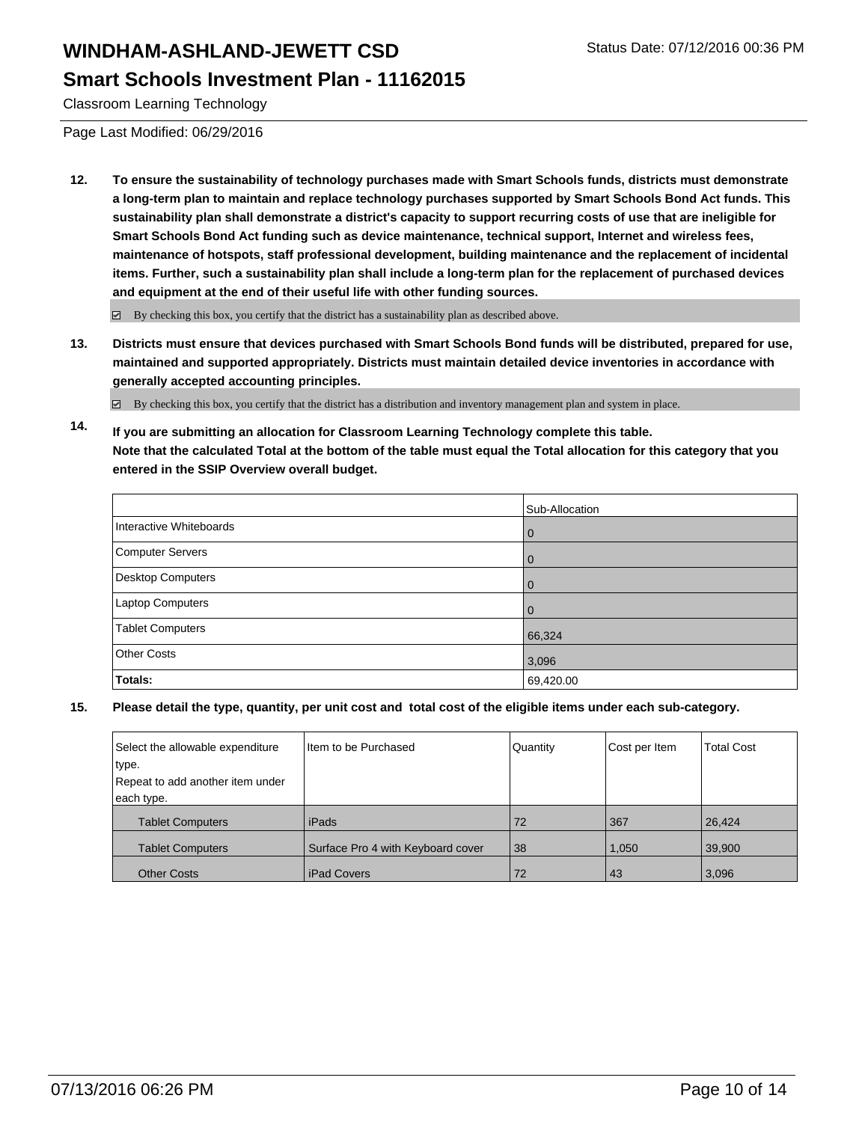#### **Smart Schools Investment Plan - 11162015**

Classroom Learning Technology

Page Last Modified: 06/29/2016

**12. To ensure the sustainability of technology purchases made with Smart Schools funds, districts must demonstrate a long-term plan to maintain and replace technology purchases supported by Smart Schools Bond Act funds. This sustainability plan shall demonstrate a district's capacity to support recurring costs of use that are ineligible for Smart Schools Bond Act funding such as device maintenance, technical support, Internet and wireless fees, maintenance of hotspots, staff professional development, building maintenance and the replacement of incidental items. Further, such a sustainability plan shall include a long-term plan for the replacement of purchased devices and equipment at the end of their useful life with other funding sources.**

By checking this box, you certify that the district has a sustainability plan as described above.

**13. Districts must ensure that devices purchased with Smart Schools Bond funds will be distributed, prepared for use, maintained and supported appropriately. Districts must maintain detailed device inventories in accordance with generally accepted accounting principles.**

 $\boxtimes$  By checking this box, you certify that the district has a distribution and inventory management plan and system in place.

**14. If you are submitting an allocation for Classroom Learning Technology complete this table. Note that the calculated Total at the bottom of the table must equal the Total allocation for this category that you entered in the SSIP Overview overall budget.**

|                         | Sub-Allocation |
|-------------------------|----------------|
| Interactive Whiteboards | $\left($       |
| Computer Servers        |                |
| Desktop Computers       | 0              |
| Laptop Computers        | 0              |
| <b>Tablet Computers</b> | 66,324         |
| Other Costs             | 3,096          |
| Totals:                 | 69,420.00      |

| Select the allowable expenditure | Item to be Purchased              | Quantity | Cost per Item | <b>Total Cost</b> |
|----------------------------------|-----------------------------------|----------|---------------|-------------------|
| type.                            |                                   |          |               |                   |
| Repeat to add another item under |                                   |          |               |                   |
| each type.                       |                                   |          |               |                   |
| <b>Tablet Computers</b>          | iPads                             | 72       | 367           | 26.424            |
| <b>Tablet Computers</b>          | Surface Pro 4 with Keyboard cover | 38       | 1,050         | 39,900            |
| <b>Other Costs</b>               | <b>iPad Covers</b>                | 72       | 43            | 3,096             |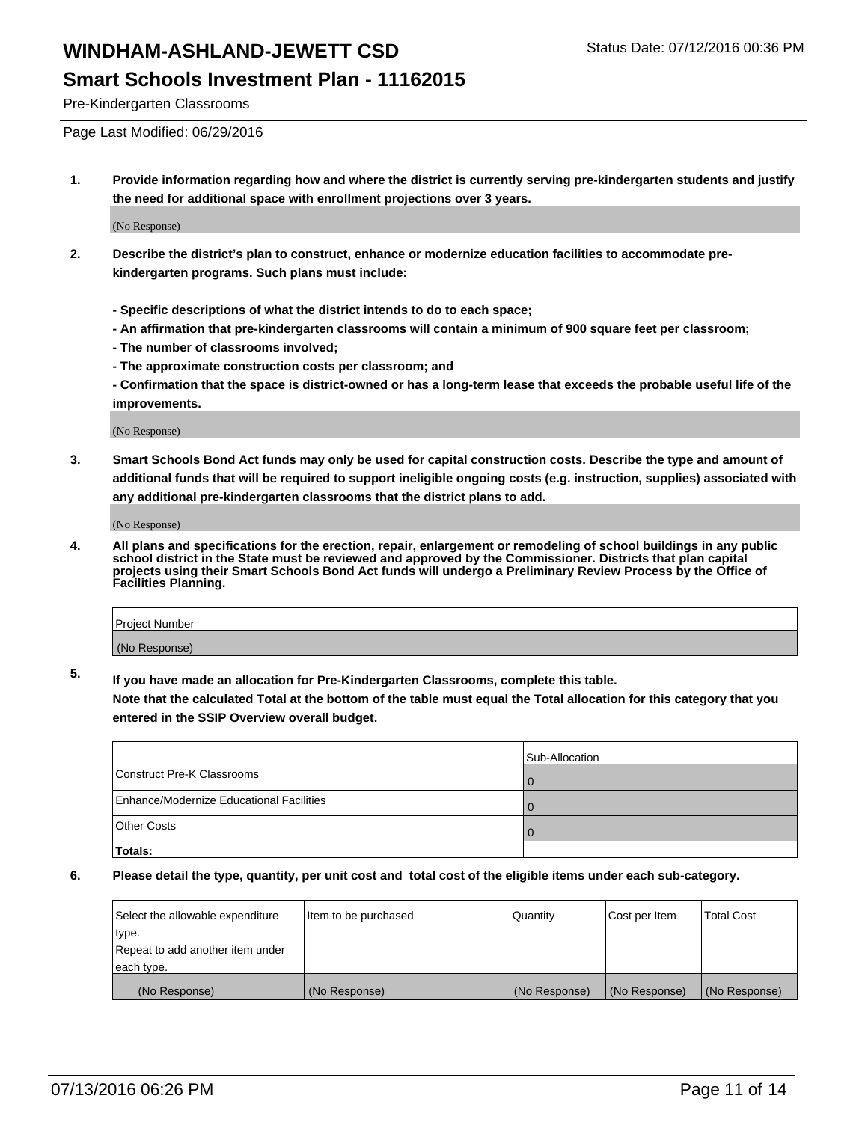#### **Smart Schools Investment Plan - 11162015**

Pre-Kindergarten Classrooms

Page Last Modified: 06/29/2016

**1. Provide information regarding how and where the district is currently serving pre-kindergarten students and justify the need for additional space with enrollment projections over 3 years.**

(No Response)

- **2. Describe the district's plan to construct, enhance or modernize education facilities to accommodate prekindergarten programs. Such plans must include:**
	- **Specific descriptions of what the district intends to do to each space;**
	- **An affirmation that pre-kindergarten classrooms will contain a minimum of 900 square feet per classroom;**
	- **The number of classrooms involved;**
	- **The approximate construction costs per classroom; and**
	- **Confirmation that the space is district-owned or has a long-term lease that exceeds the probable useful life of the improvements.**

(No Response)

**3. Smart Schools Bond Act funds may only be used for capital construction costs. Describe the type and amount of additional funds that will be required to support ineligible ongoing costs (e.g. instruction, supplies) associated with any additional pre-kindergarten classrooms that the district plans to add.**

(No Response)

**4. All plans and specifications for the erection, repair, enlargement or remodeling of school buildings in any public school district in the State must be reviewed and approved by the Commissioner. Districts that plan capital projects using their Smart Schools Bond Act funds will undergo a Preliminary Review Process by the Office of Facilities Planning.**

| <b>Project Number</b> |  |
|-----------------------|--|
| (No Response)         |  |

**5. If you have made an allocation for Pre-Kindergarten Classrooms, complete this table.**

**Note that the calculated Total at the bottom of the table must equal the Total allocation for this category that you entered in the SSIP Overview overall budget.**

|                                          | Sub-Allocation |
|------------------------------------------|----------------|
| Construct Pre-K Classrooms               |                |
| Enhance/Modernize Educational Facilities |                |
| <b>Other Costs</b>                       |                |
| <b>Totals:</b>                           |                |

| Select the allowable expenditure | ltem to be purchased | Quantity      | Cost per Item | <b>Total Cost</b> |
|----------------------------------|----------------------|---------------|---------------|-------------------|
| type.                            |                      |               |               |                   |
| Repeat to add another item under |                      |               |               |                   |
| each type.                       |                      |               |               |                   |
| (No Response)                    | (No Response)        | (No Response) | (No Response) | (No Response)     |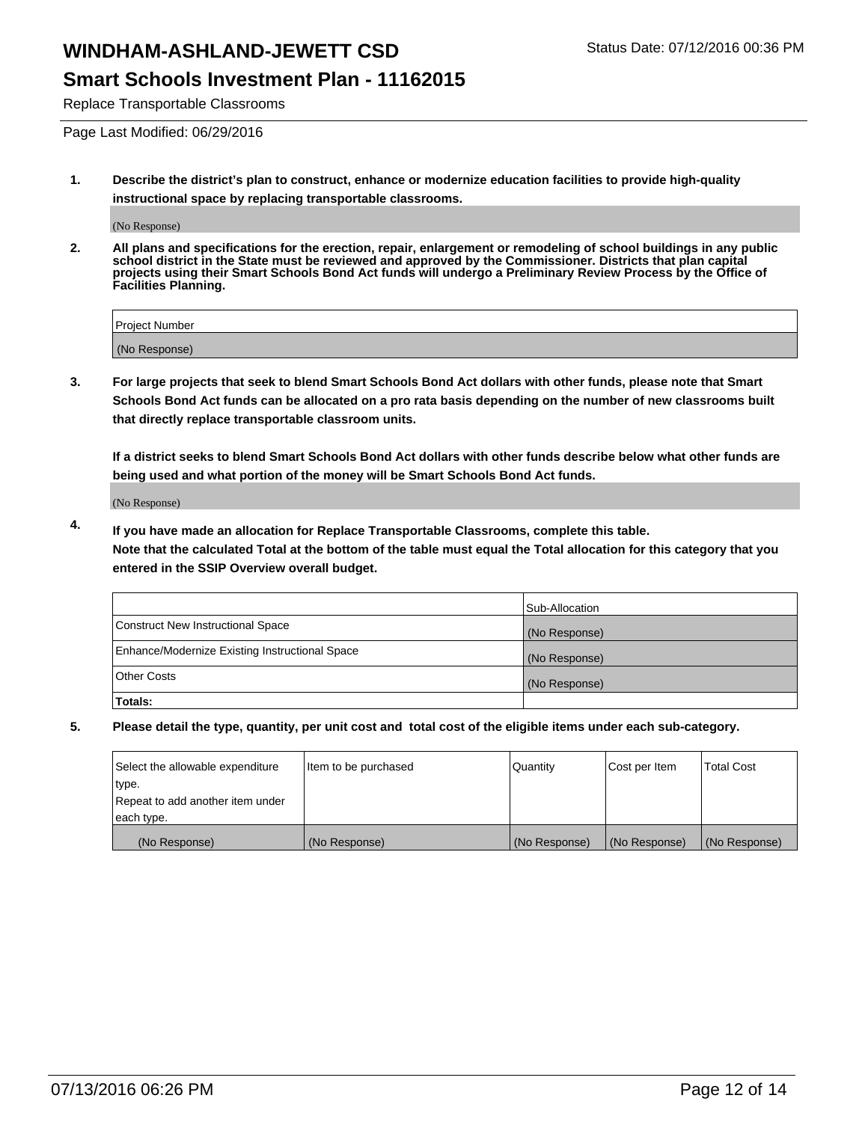#### **Smart Schools Investment Plan - 11162015**

Replace Transportable Classrooms

Page Last Modified: 06/29/2016

**1. Describe the district's plan to construct, enhance or modernize education facilities to provide high-quality instructional space by replacing transportable classrooms.**

(No Response)

**2. All plans and specifications for the erection, repair, enlargement or remodeling of school buildings in any public school district in the State must be reviewed and approved by the Commissioner. Districts that plan capital projects using their Smart Schools Bond Act funds will undergo a Preliminary Review Process by the Office of Facilities Planning.**

| <b>Project Number</b> |  |
|-----------------------|--|
| (No Response)         |  |

**3. For large projects that seek to blend Smart Schools Bond Act dollars with other funds, please note that Smart Schools Bond Act funds can be allocated on a pro rata basis depending on the number of new classrooms built that directly replace transportable classroom units.**

**If a district seeks to blend Smart Schools Bond Act dollars with other funds describe below what other funds are being used and what portion of the money will be Smart Schools Bond Act funds.**

(No Response)

**4. If you have made an allocation for Replace Transportable Classrooms, complete this table. Note that the calculated Total at the bottom of the table must equal the Total allocation for this category that you entered in the SSIP Overview overall budget.**

|                                                | Sub-Allocation |
|------------------------------------------------|----------------|
| Construct New Instructional Space              | (No Response)  |
| Enhance/Modernize Existing Instructional Space | (No Response)  |
| Other Costs                                    | (No Response)  |
| Totals:                                        |                |

| Select the allowable expenditure | Item to be purchased | Quantity      | Cost per Item | <b>Total Cost</b> |
|----------------------------------|----------------------|---------------|---------------|-------------------|
| type.                            |                      |               |               |                   |
| Repeat to add another item under |                      |               |               |                   |
| each type.                       |                      |               |               |                   |
| (No Response)                    | (No Response)        | (No Response) | (No Response) | (No Response)     |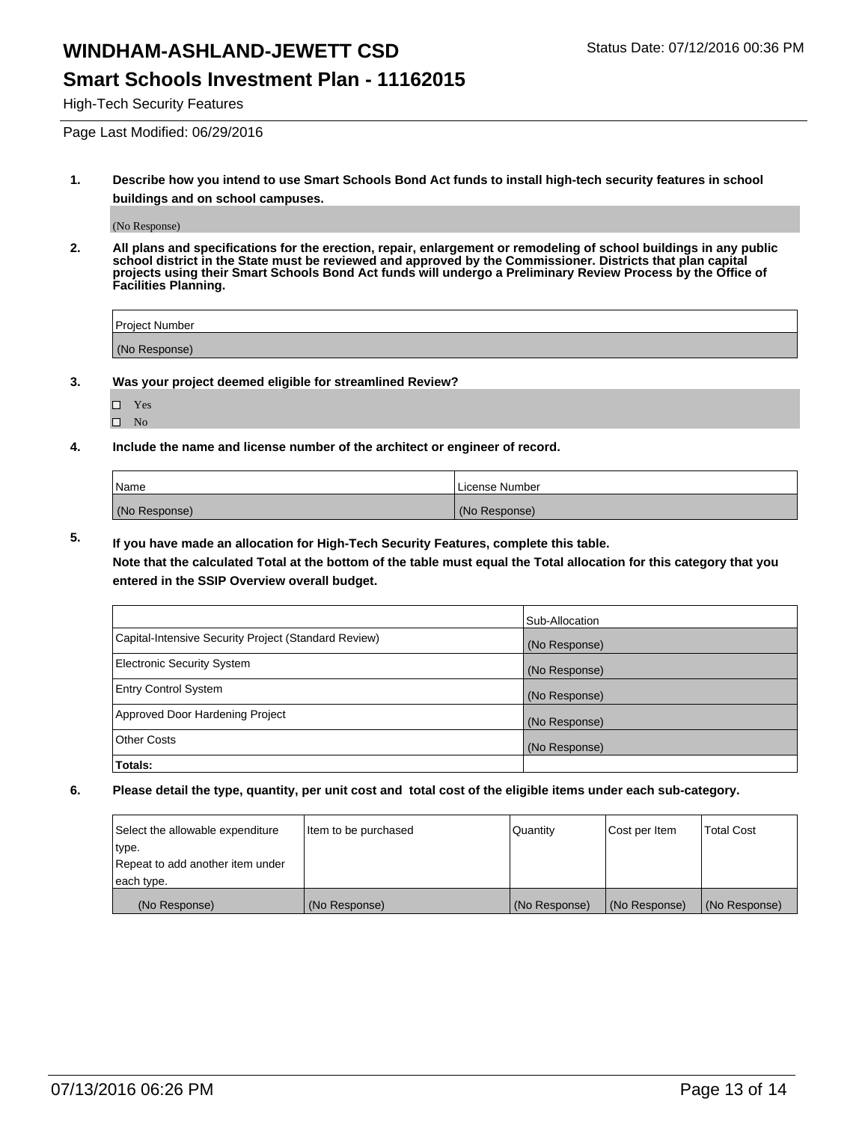### **Smart Schools Investment Plan - 11162015**

High-Tech Security Features

Page Last Modified: 06/29/2016

**1. Describe how you intend to use Smart Schools Bond Act funds to install high-tech security features in school buildings and on school campuses.**

(No Response)

**2. All plans and specifications for the erection, repair, enlargement or remodeling of school buildings in any public school district in the State must be reviewed and approved by the Commissioner. Districts that plan capital projects using their Smart Schools Bond Act funds will undergo a Preliminary Review Process by the Office of Facilities Planning.** 

| Project Number |  |
|----------------|--|
| (No Response)  |  |

**3. Was your project deemed eligible for streamlined Review?**

| П | Yes |  |
|---|-----|--|
| П | Nο  |  |

**4. Include the name and license number of the architect or engineer of record.**

| Name          | License Number |
|---------------|----------------|
| (No Response) | (No Response)  |

**5. If you have made an allocation for High-Tech Security Features, complete this table.**

**Note that the calculated Total at the bottom of the table must equal the Total allocation for this category that you entered in the SSIP Overview overall budget.**

|                                                      | Sub-Allocation |
|------------------------------------------------------|----------------|
| Capital-Intensive Security Project (Standard Review) | (No Response)  |
| <b>Electronic Security System</b>                    | (No Response)  |
| <b>Entry Control System</b>                          | (No Response)  |
| Approved Door Hardening Project                      | (No Response)  |
| <b>Other Costs</b>                                   | (No Response)  |
| Totals:                                              |                |

| Select the allowable expenditure | litem to be purchased | Quantity      | Cost per Item | <b>Total Cost</b> |
|----------------------------------|-----------------------|---------------|---------------|-------------------|
| type.                            |                       |               |               |                   |
| Repeat to add another item under |                       |               |               |                   |
| each type.                       |                       |               |               |                   |
| (No Response)                    | (No Response)         | (No Response) | (No Response) | (No Response)     |